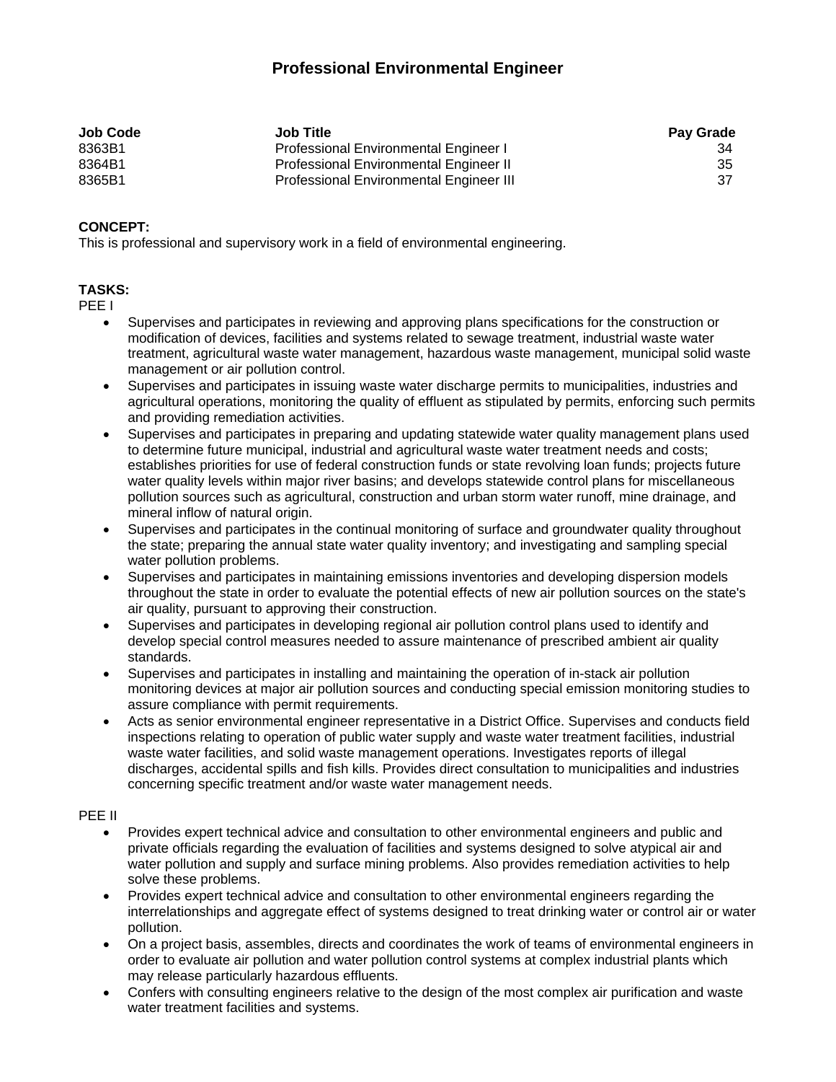# **Professional Environmental Engineer**

| <b>Job Code</b> | <b>Job Title</b>                               | <b>Pay Grade</b> |
|-----------------|------------------------------------------------|------------------|
| 8363B1          | Professional Environmental Engineer I          | 34               |
| 8364B1          | <b>Professional Environmental Engineer II</b>  | 35               |
| 8365B1          | <b>Professional Environmental Engineer III</b> | 37               |

## **CONCEPT:**

This is professional and supervisory work in a field of environmental engineering.

## **TASKS:**

PEE I

- Supervises and participates in reviewing and approving plans specifications for the construction or modification of devices, facilities and systems related to sewage treatment, industrial waste water treatment, agricultural waste water management, hazardous waste management, municipal solid waste management or air pollution control.
- Supervises and participates in issuing waste water discharge permits to municipalities, industries and agricultural operations, monitoring the quality of effluent as stipulated by permits, enforcing such permits and providing remediation activities.
- Supervises and participates in preparing and updating statewide water quality management plans used to determine future municipal, industrial and agricultural waste water treatment needs and costs; establishes priorities for use of federal construction funds or state revolving loan funds; projects future water quality levels within major river basins; and develops statewide control plans for miscellaneous pollution sources such as agricultural, construction and urban storm water runoff, mine drainage, and mineral inflow of natural origin.
- Supervises and participates in the continual monitoring of surface and groundwater quality throughout the state; preparing the annual state water quality inventory; and investigating and sampling special water pollution problems.
- Supervises and participates in maintaining emissions inventories and developing dispersion models throughout the state in order to evaluate the potential effects of new air pollution sources on the state's air quality, pursuant to approving their construction.
- Supervises and participates in developing regional air pollution control plans used to identify and develop special control measures needed to assure maintenance of prescribed ambient air quality standards.
- Supervises and participates in installing and maintaining the operation of in-stack air pollution monitoring devices at major air pollution sources and conducting special emission monitoring studies to assure compliance with permit requirements.
- Acts as senior environmental engineer representative in a District Office. Supervises and conducts field inspections relating to operation of public water supply and waste water treatment facilities, industrial waste water facilities, and solid waste management operations. Investigates reports of illegal discharges, accidental spills and fish kills. Provides direct consultation to municipalities and industries concerning specific treatment and/or waste water management needs.

#### PEE II

- Provides expert technical advice and consultation to other environmental engineers and public and private officials regarding the evaluation of facilities and systems designed to solve atypical air and water pollution and supply and surface mining problems. Also provides remediation activities to help solve these problems.
- Provides expert technical advice and consultation to other environmental engineers regarding the interrelationships and aggregate effect of systems designed to treat drinking water or control air or water pollution.
- On a project basis, assembles, directs and coordinates the work of teams of environmental engineers in order to evaluate air pollution and water pollution control systems at complex industrial plants which may release particularly hazardous effluents.
- Confers with consulting engineers relative to the design of the most complex air purification and waste water treatment facilities and systems.